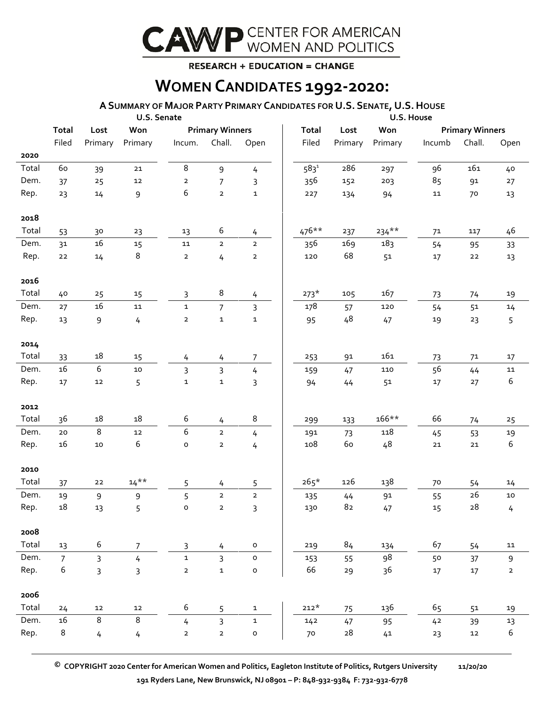

## **RESEARCH + EDUCATION = CHANGE**

## **WOMEN CANDIDATES 1992-2020:**

## **ASUMMARY OF MAJOR PARTY PRIMARY CANDIDATES FOR U.S. SENATE, U.S.HOUSE**

|               |                      |                  | U.S. Senate    |                     |                        |                | U.S. House   |            |         |                        |            |             |  |  |
|---------------|----------------------|------------------|----------------|---------------------|------------------------|----------------|--------------|------------|---------|------------------------|------------|-------------|--|--|
|               | <b>Total</b><br>Lost |                  | Won            |                     | <b>Primary Winners</b> |                | <b>Total</b> | Lost       | Won     | <b>Primary Winners</b> |            |             |  |  |
|               | Filed                | Primary          | Primary        | Incum.              | Chall.                 | Open           | Filed        | Primary    | Primary | Incumb                 | Chall.     | Open        |  |  |
| 2020          |                      |                  |                |                     |                        |                |              |            |         |                        |            |             |  |  |
| Total         | 60                   | 39               | ${\bf 21}$     | $\,8\,$             | $\mathsf 9$            | $\overline{4}$ | $583^{1}$    | 286        | 297     | 96                     | 161        | 40          |  |  |
| Dem.          | 37                   | 25               | 12             | $\overline{2}$      | 7                      | 3              | 356          | 152        | 203     | 85                     | 91         | 27          |  |  |
| Rep.          | 23                   | $14\,$           | 9              | 6                   | $\mathbf 2$            | $\mathbf 1$    | 227          | 134        | 94      | 11                     | 70         | 13          |  |  |
|               |                      |                  |                |                     |                        |                |              |            |         |                        |            |             |  |  |
| 2018          |                      |                  |                |                     |                        |                |              |            |         |                        |            |             |  |  |
| Total         | 53                   | 30               | 23             | 13                  | 6                      | 4              | $476**$      | 237        | $234**$ | 71                     | 117        | 46          |  |  |
| Dem.          | 31                   | $16\,$           | 15             | ${\bf 11}$          | $\overline{2}$         | $\overline{2}$ | 356          | 169        | 183     | 54                     | 95         | 33          |  |  |
| Rep.          | ${\bf 22}$           | 14               | 8              | $\mathbf{2}$        | 4                      | $\mathbf{2}$   | 120          | 68         | 51      | $17\,$                 | ${\bf 22}$ | 13          |  |  |
|               |                      |                  |                |                     |                        |                |              |            |         |                        |            |             |  |  |
| 2016          |                      |                  |                |                     |                        |                |              |            |         |                        |            |             |  |  |
| Total         | 40                   | 25               | 15             | 3                   | $\,8\,$                | 4              | $273*$       | 105        | 167     | 73                     | 74         | 19          |  |  |
| Dem.          | 27                   | $16\,$           | ${\bf 11}$     | $\mathbf{1}$        | $\overline{7}$         | 3              | 178          | 57         | 120     | 54                     | 51         | 14          |  |  |
| Rep.          | 13                   | 9                | 4              | $\mathbf{2}$        | $\mathbf 1$            | $\mathbf 1$    | 95           | 48         | 47      | 19                     | 23         | 5           |  |  |
|               |                      |                  |                |                     |                        |                |              |            |         |                        |            |             |  |  |
| 2014          |                      |                  |                |                     |                        |                |              |            |         |                        |            |             |  |  |
| Total         | 33                   | $18\,$           | $15\,$         | 4                   | 4                      | 7              | 253          | 91         | 161     | 73                     | 71         | 17          |  |  |
| Dem.          | 16                   | $\boldsymbol{6}$ | 10             | 3                   | $\overline{3}$         | $\overline{4}$ | 159          | 47         | 110     | 56                     | 44         | 11          |  |  |
| Rep.          | 17                   | 12               | 5              | $\mathbf{1}$        | $\mathbf 1$            | 3              | 94           | 44         | 51      | 17                     | 27         | 6           |  |  |
|               |                      |                  |                |                     |                        |                |              |            |         |                        |            |             |  |  |
| 2012<br>Total |                      | $18\,$           | $18\,$         |                     |                        | 8              |              |            | 166**   | 66                     |            |             |  |  |
| Dem.          | 36                   | $\,8\,$          |                | 6<br>6              | 4                      |                | 299          | 133        | 118     |                        | 74         | 25          |  |  |
| Rep.          | 20<br>$16\,$         |                  | 12<br>6        |                     | $\mathbf 2$            | 4              | 191<br>108   | 73<br>60   | 48      | 45                     | 53         | 19<br>6     |  |  |
|               |                      | $10\,$           |                | $\mathsf{o}$        | $\mathbf{2}$           | 4              |              |            |         | ${\bf 21}$             | ${\bf 21}$ |             |  |  |
| 2010          |                      |                  |                |                     |                        |                |              |            |         |                        |            |             |  |  |
| Total         | 37                   | 22               | $14***$        | 5                   | 4                      | 5              | $265*$       | 126        | 138     | 70                     | 54         | 14          |  |  |
| Dem.          | 19                   | 9                | 9              | 5                   | $\mathbf 2$            | $\mathbf 2$    | 135          | 44         | 91      | 55                     | 26         | 10          |  |  |
| Rep.          | 18                   | 13               | 5              | $\mathsf{o}\xspace$ | $\overline{2}$         | 3              | 130          | 82         | 47      | 15                     | 28         | 4           |  |  |
|               |                      |                  |                |                     |                        |                |              |            |         |                        |            |             |  |  |
| 2008          |                      |                  |                |                     |                        |                |              |            |         |                        |            |             |  |  |
| Total         | 13                   | 6                | $\overline{7}$ | 3                   | $\overline{4}$         | o              | 219          | 84         | 134     | 67                     | 54         | 11          |  |  |
| Dem.          | $\overline{7}$       | 3                | 4              | $\mathbf{1}$        | $\overline{3}$         | $\mathsf{o}$   | 153          | 55         | 98      | 50                     | 37         | 9           |  |  |
| Rep.          | 6                    | 3                | 3              | $\overline{2}$      | 1                      | $\mathsf{o}$   | 66           | 29         | 36      | 17                     | 17         | $\mathbf 2$ |  |  |
|               |                      |                  |                |                     |                        |                |              |            |         |                        |            |             |  |  |
| 2006          |                      |                  |                |                     |                        |                |              |            |         |                        |            |             |  |  |
| Total         | 24                   | 12               | ${\bf 12}$     | 6                   | 5                      | $\mathbf{1}$   | $212*$       | 75         | 136     | 65                     | 51         | 19          |  |  |
| Dem.          | 16                   | 8                | 8              | $\overline{4}$      | $\overline{3}$         | $\mathbf{1}$   | 142          | 47         | 95      | 42                     | 39         | 13          |  |  |
| Rep.          | $\,8\,$              | 4                | 4              | $\mathbf 2$         | $\mathbf{2}$           | $\mathsf{o}$   | 70           | ${\bf 28}$ | 41      | 23                     | $12\,$     | 6           |  |  |
|               |                      |                  |                |                     |                        |                |              |            |         |                        |            |             |  |  |

 **© COPYRIGHT 2020 Center for American Women and Politics, Eagleton Institute of Politics, Rutgers University 11/20/20 191 Ryders Lane, New Brunswick, NJ 08901 – P: 848-932-9384 F: 732-932-6778**